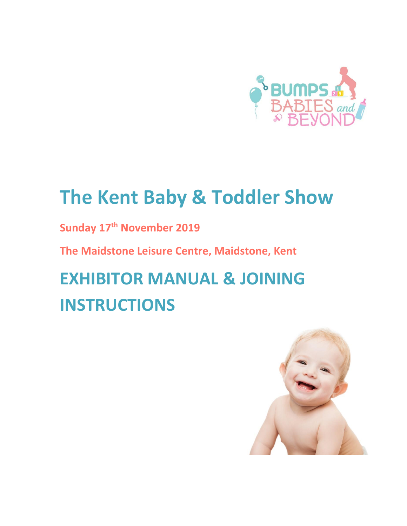

# **The Kent Baby & Toddler Show**

**Sunday 17th November 2019**

**The Maidstone Leisure Centre, Maidstone, Kent**

**EXHIBITOR MANUAL & JOINING INSTRUCTIONS**

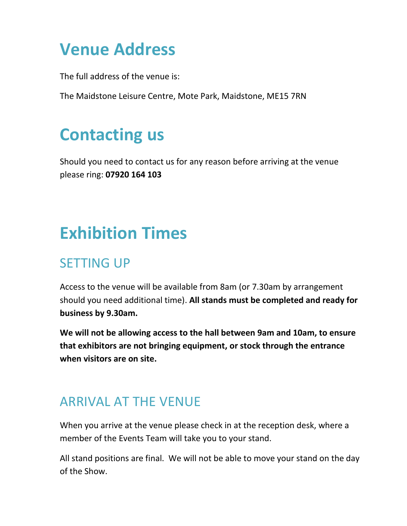## **Venue Address**

The full address of the venue is:

The Maidstone Leisure Centre, Mote Park, Maidstone, ME15 7RN

## **Contacting us**

Should you need to contact us for any reason before arriving at the venue please ring: **07920 164 103** 

# **Exhibition Times**

## SETTING UP

Access to the venue will be available from 8am (or 7.30am by arrangement should you need additional time). **All stands must be completed and ready for business by 9.30am.**

**We will not be allowing access to the hall between 9am and 10am, to ensure that exhibitors are not bringing equipment, or stock through the entrance when visitors are on site.**

## ARRIVAL AT THE VENUE

When you arrive at the venue please check in at the reception desk, where a member of the Events Team will take you to your stand.

All stand positions are final. We will not be able to move your stand on the day of the Show.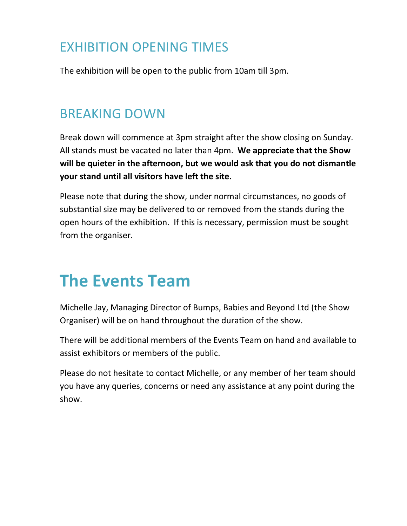## EXHIBITION OPENING TIMES

The exhibition will be open to the public from 10am till 3pm.

#### BREAKING DOWN

Break down will commence at 3pm straight after the show closing on Sunday. All stands must be vacated no later than 4pm. **We appreciate that the Show will be quieter in the afternoon, but we would ask that you do not dismantle your stand until all visitors have left the site.**

Please note that during the show, under normal circumstances, no goods of substantial size may be delivered to or removed from the stands during the open hours of the exhibition. If this is necessary, permission must be sought from the organiser.

## **The Events Team**

Michelle Jay, Managing Director of Bumps, Babies and Beyond Ltd (the Show Organiser) will be on hand throughout the duration of the show.

There will be additional members of the Events Team on hand and available to assist exhibitors or members of the public.

Please do not hesitate to contact Michelle, or any member of her team should you have any queries, concerns or need any assistance at any point during the show.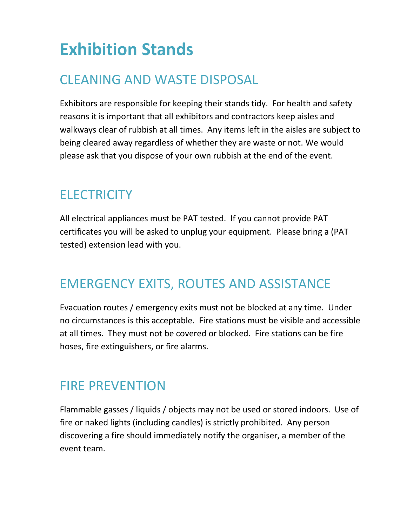# **Exhibition Stands**

## CLEANING AND WASTE DISPOSAL

Exhibitors are responsible for keeping their stands tidy. For health and safety reasons it is important that all exhibitors and contractors keep aisles and walkways clear of rubbish at all times. Any items left in the aisles are subject to being cleared away regardless of whether they are waste or not. We would please ask that you dispose of your own rubbish at the end of the event.

## **ELECTRICITY**

All electrical appliances must be PAT tested. If you cannot provide PAT certificates you will be asked to unplug your equipment. Please bring a (PAT tested) extension lead with you.

## EMERGENCY EXITS, ROUTES AND ASSISTANCE

Evacuation routes / emergency exits must not be blocked at any time. Under no circumstances is this acceptable. Fire stations must be visible and accessible at all times. They must not be covered or blocked. Fire stations can be fire hoses, fire extinguishers, or fire alarms.

#### FIRE PREVENTION

Flammable gasses / liquids / objects may not be used or stored indoors. Use of fire or naked lights (including candles) is strictly prohibited. Any person discovering a fire should immediately notify the organiser, a member of the event team.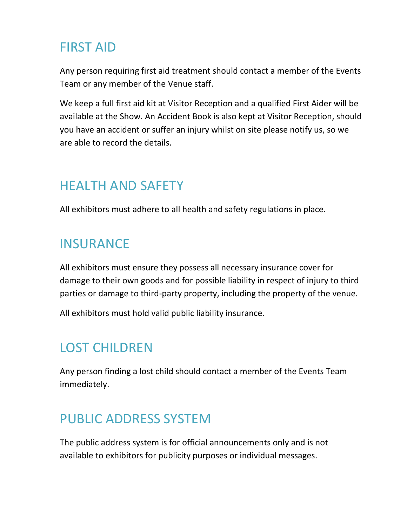## FIRST AID

Any person requiring first aid treatment should contact a member of the Events Team or any member of the Venue staff.

We keep a full first aid kit at Visitor Reception and a qualified First Aider will be available at the Show. An Accident Book is also kept at Visitor Reception, should you have an accident or suffer an injury whilst on site please notify us, so we are able to record the details.

## HEALTH AND SAFETY

All exhibitors must adhere to all health and safety regulations in place.

#### **INSURANCE**

All exhibitors must ensure they possess all necessary insurance cover for damage to their own goods and for possible liability in respect of injury to third parties or damage to third-party property, including the property of the venue.

All exhibitors must hold valid public liability insurance.

## LOST CHILDREN

Any person finding a lost child should contact a member of the Events Team immediately.

## PUBLIC ADDRESS SYSTEM

The public address system is for official announcements only and is not available to exhibitors for publicity purposes or individual messages.